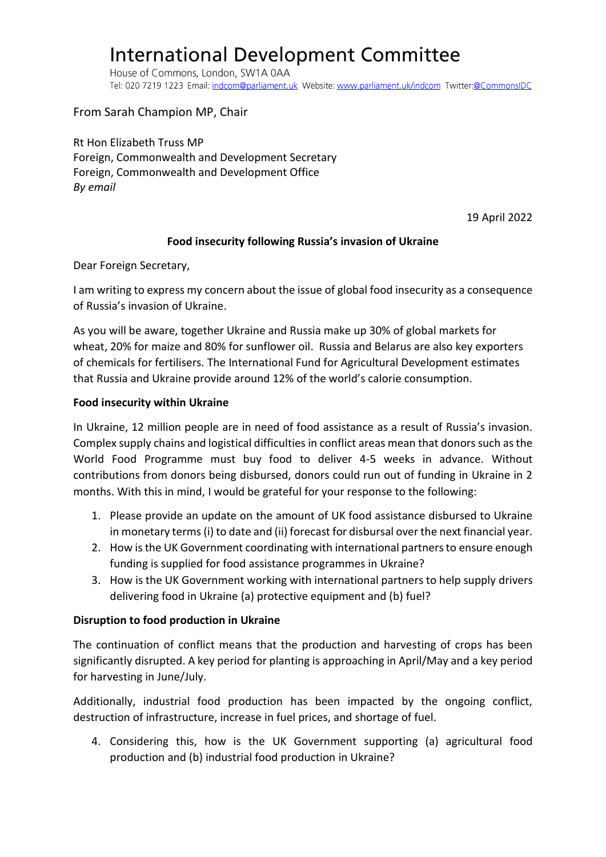# **International Development Committee**

House of Commons, London, SW1A 0AA Tel: 020 7219 1223 Email: indcom@parliament.uk Website: www.parliament.uk/indcom Twitter:@CommonsIDC

From Sarah Champion MP, Chair

Rt Hon Elizabeth Truss MP Foreign, Commonwealth and Development Secretary Foreign, Commonwealth and Development Office *By email*

19 April 2022

## **Food insecurity following Russia's invasion of Ukraine**

Dear Foreign Secretary,

I am writing to express my concern about the issue of global food insecurity as a consequence of Russia's invasion of Ukraine.

As you will be aware, together Ukraine and Russia make up 30% of global markets for wheat, 20% for maize and 80% for sunflower oil. Russia and Belarus are also key exporters of chemicals for fertilisers. The International Fund for Agricultural Development estimates that Russia and Ukraine provide around 12% of the world's calorie consumption.

### **Food insecurity within Ukraine**

In Ukraine, 12 million people are in need of food assistance as a result of Russia's invasion. Complex supply chains and logistical difficulties in conflict areas mean that donors such as the World Food Programme must buy food to deliver 4-5 weeks in advance. Without contributions from donors being disbursed, donors could run out of funding in Ukraine in 2 months. With this in mind, I would be grateful for your response to the following:

- 1. Please provide an update on the amount of UK food assistance disbursed to Ukraine in monetary terms (i) to date and (ii) forecast for disbursal over the next financial year.
- 2. How is the UK Government coordinating with international partners to ensure enough funding is supplied for food assistance programmes in Ukraine?
- 3. How is the UK Government working with international partners to help supply drivers delivering food in Ukraine (a) protective equipment and (b) fuel?

## **Disruption to food production in Ukraine**

The continuation of conflict means that the production and harvesting of crops has been significantly disrupted. A key period for planting is approaching in April/May and a key period for harvesting in June/July.

Additionally, industrial food production has been impacted by the ongoing conflict, destruction of infrastructure, increase in fuel prices, and shortage of fuel.

4. Considering this, how is the UK Government supporting (a) agricultural food production and (b) industrial food production in Ukraine?